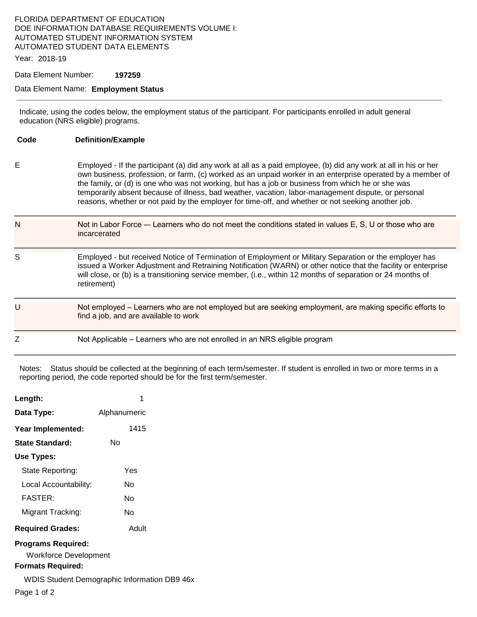#### FLORIDA DEPARTMENT OF EDUCATION DOE INFORMATION DATABASE REQUIREMENTS VOLUME I: AUTOMATED STUDENT INFORMATION SYSTEM AUTOMATED STUDENT DATA ELEMENTS

Year: 2018-19

Data Element Number: **197259** 

#### Data Element Name: **Employment Status**

Indicate, using the codes below, the employment status of the participant. For participants enrolled in adult general education (NRS eligible) programs.

| Code | <b>Definition/Example</b>                                                                                                                                                                                                                                                                                                                                                                                                                                                                                                                       |
|------|-------------------------------------------------------------------------------------------------------------------------------------------------------------------------------------------------------------------------------------------------------------------------------------------------------------------------------------------------------------------------------------------------------------------------------------------------------------------------------------------------------------------------------------------------|
| E    | Employed - If the participant (a) did any work at all as a paid employee, (b) did any work at all in his or her<br>own business, profession, or farm, (c) worked as an unpaid worker in an enterprise operated by a member of<br>the family, or (d) is one who was not working, but has a job or business from which he or she was<br>temporarily absent because of illness, bad weather, vacation, labor-management dispute, or personal<br>reasons, whether or not paid by the employer for time-off, and whether or not seeking another job. |
| N    | Not in Labor Force - Learners who do not meet the conditions stated in values E, S, U or those who are<br>incarcerated                                                                                                                                                                                                                                                                                                                                                                                                                          |
| S    | Employed - but received Notice of Termination of Employment or Military Separation or the employer has<br>issued a Worker Adjustment and Retraining Notification (WARN) or other notice that the facility or enterprise<br>will close, or (b) is a transitioning service member, (i.e., within 12 months of separation or 24 months of<br>retirement)                                                                                                                                                                                           |
| U    | Not employed – Learners who are not employed but are seeking employment, are making specific efforts to<br>find a job, and are available to work                                                                                                                                                                                                                                                                                                                                                                                                |
| Z    | Not Applicable – Learners who are not enrolled in an NRS eligible program                                                                                                                                                                                                                                                                                                                                                                                                                                                                       |

Notes: Status should be collected at the beginning of each term/semester. If student is enrolled in two or more terms in a reporting period, the code reported should be for the first term/semester.

| Length:                                                   | 1            |
|-----------------------------------------------------------|--------------|
| Data Type:                                                | Alphanumeric |
| Year Implemented:                                         | 1415         |
| State Standard:                                           | N٥           |
| Use Types:                                                |              |
| State Reporting:                                          | Yes          |
| Local Accountability:                                     | N٥           |
| <b>FASTER:</b>                                            | N٥           |
| Migrant Tracking:                                         | N٥           |
| <b>Required Grades:</b>                                   | Adult        |
| <b>Programs Required:</b><br><b>Workforce Development</b> |              |

#### **Formats Required:**

WDIS Student Demographic Information DB9 46x